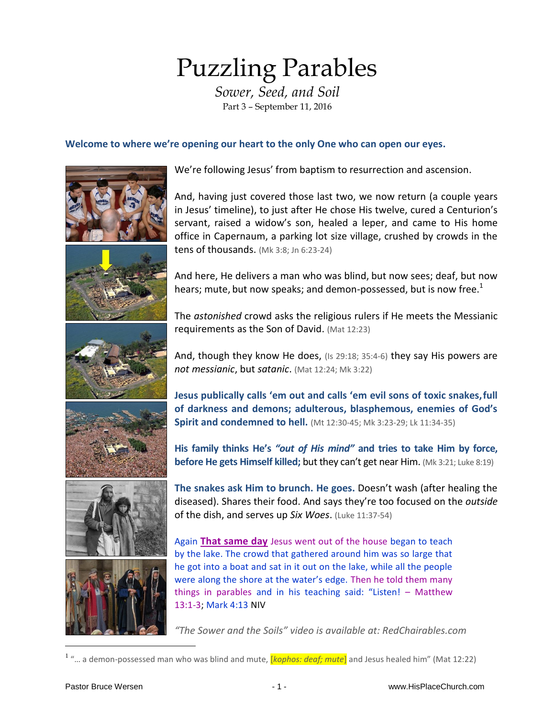# Puzzling Parables

*Sower, Seed, and Soil* Part 3 – September 11, 2016

## **Welcome to where we're opening our heart to the only One who can open our eyes.**



We're following Jesus' from baptism to resurrection and ascension.

And, having just covered those last two, we now return (a couple years in Jesus' timeline), to just after He chose His twelve, cured a Centurion's servant, raised a widow's son, healed a leper, and came to His home office in Capernaum, a parking lot size village, crushed by crowds in the tens of thousands. (Mk 3:8; Jn 6:23-24)

And here, He delivers a man who was blind, but now sees; deaf, but now hears; mute, but now speaks; and demon-possessed, but is now free.<sup>1</sup>

The *astonished* crowd asks the religious rulers if He meets the Messianic requirements as the Son of David. (Mat 12:23)

And, though they know He does, (Is 29:18; 35:4-6) they say His powers are *not messianic*, but *satanic*. (Mat 12:24; Mk 3:22)

**Jesus publically calls 'em out and calls 'em evil sons of toxic snakes,full of darkness and demons; adulterous, blasphemous, enemies of God's Spirit and condemned to hell.** (Mt 12:30-45; Mk 3:23-29; Lk 11:34-35)

**His family thinks He's** *"out of His mind"* **and tries to take Him by force, before He gets Himself killed; but they can't get near Him.** (Mk 3:21; Luke 8:19)

**The snakes ask Him to brunch. He goes.** Doesn't wash (after healing the diseased). Shares their food. And says they're too focused on the *outside* of the dish, and serves up *Six Woes*. (Luke 11:37-54)

Again **That same day** Jesus went out of the house began to teach by the lake. The crowd that gathered around him was so large that he got into a boat and sat in it out on the lake, while all the people were along the shore at the water's edge. Then he told them many things in parables and in his teaching said: "Listen! – Matthew 13:1-3; Mark 4:13 NIV

*"The Sower and the Soils" video is available at: RedChairables.com*

<sup>1</sup> "... a demon-possessed man who was blind and mute, *[kophos: deaf; mute*] and Jesus healed him" (Mat 12:22)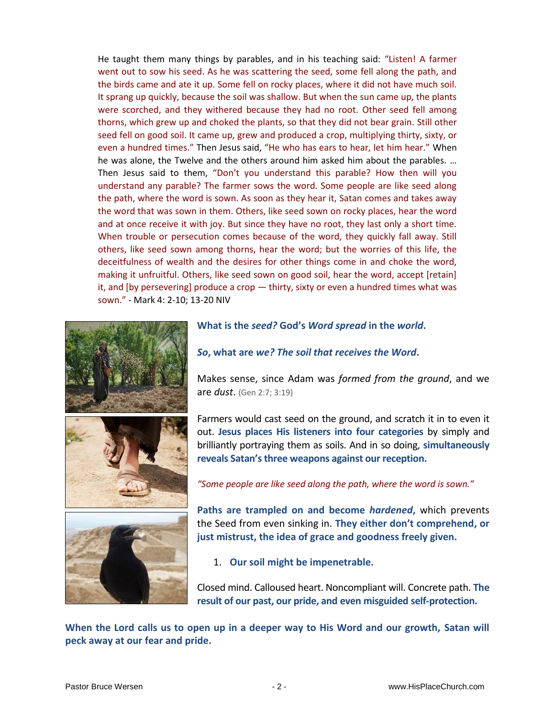He taught them many things by parables, and in his teaching said: "Listen! A farmer went out to sow his seed. As he was scattering the seed, some fell along the path, and the birds came and ate it up. Some fell on rocky places, where it did not have much soil. It sprang up quickly, because the soil was shallow. But when the sun came up, the plants were scorched, and they withered because they had no root. Other seed fell among thorns, which grew up and choked the plants, so that they did not bear grain. Still other seed fell on good soil. It came up, grew and produced a crop, multiplying thirty, sixty, or even a hundred times." Then Jesus said, "He who has ears to hear, let him hear." When he was alone, the Twelve and the others around him asked him about the parables. … Then Jesus said to them, "Don't you understand this parable? How then will you understand any parable? The farmer sows the word. Some people are like seed along the path, where the word is sown. As soon as they hear it, Satan comes and takes away the word that was sown in them. Others, like seed sown on rocky places, hear the word and at once receive it with joy. But since they have no root, they last only a short time. When trouble or persecution comes because of the word, they quickly fall away. Still others, like seed sown among thorns, hear the word; but the worries of this life, the deceitfulness of wealth and the desires for other things come in and choke the word, making it unfruitful. Others, like seed sown on good soil, hear the word, accept [retain] it, and [by persevering] produce a crop — thirty, sixty or even a hundred times what was sown." - Mark 4: 2-10; 13-20 NIV







#### **What is the** *seed?* **God's** *Word spread* **in the** *world***.**

*So***, what are** *we? The soil that receives the Word***.**

Makes sense, since Adam was *formed from the ground*, and we are *dust*. (Gen 2:7; 3:19)

Farmers would cast seed on the ground, and scratch it in to even it out. **Jesus places His listeners into four categories** by simply and brilliantly portraying them as soils. And in so doing, **simultaneously reveals Satan's three weapons against our reception.**

*"Some people are like seed along the path, where the word is sown."*

**Paths are trampled on and become** *hardened***,** which prevents the Seed from even sinking in. **They either don't comprehend, or just mistrust, the idea of grace and goodness freely given.**

1. **Our soil might be impenetrable.**

Closed mind. Calloused heart. Noncompliant will. Concrete path. **The result of our past, our pride, and even misguided self-protection.**

**When the Lord calls us to open up in a deeper way to His Word and our growth, Satan will peck away at our fear and pride.**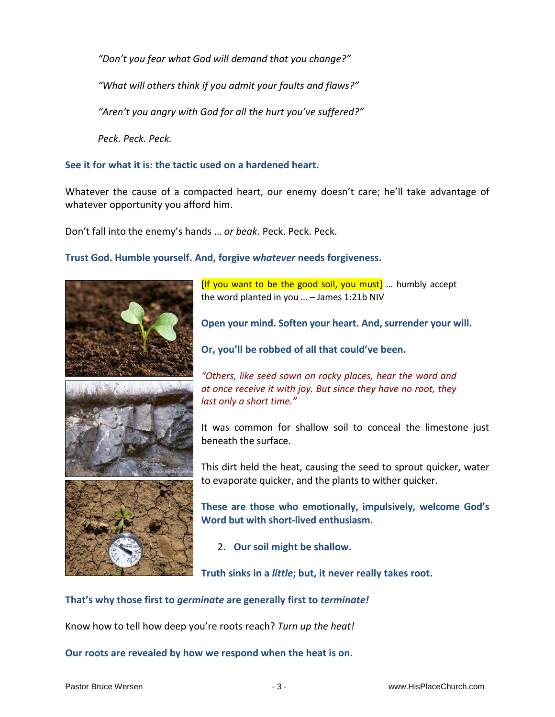*"Don't you fear what God will demand that you change?"*

*"What will others think if you admit your faults and flaws?"*

*"Aren't you angry with God for all the hurt you've suffered?"*

*Peck. Peck. Peck.* 

## **See it for what it is: the tactic used on a hardened heart.**

Whatever the cause of a compacted heart, our enemy doesn't care; he'll take advantage of whatever opportunity you afford him.

Don't fall into the enemy's hands … *or beak*. Peck. Peck. Peck.

## **Trust God. Humble yourself. And, forgive** *whatever* **needs forgiveness.**





[If you want to be the good soil, you must] … humbly accept the word planted in you … – James 1:21b NIV

**Open your mind. Soften your heart. And, surrender your will.**

**Or, you'll be robbed of all that could've been.**

*"Others, like seed sown on rocky places, hear the word and at once receive it with joy. But since they have no root, they last only a short time."*

It was common for shallow soil to conceal the limestone just beneath the surface.

This dirt held the heat, causing the seed to sprout quicker, water to evaporate quicker, and the plants to wither quicker.

**These are those who emotionally, impulsively, welcome God's Word but with short-lived enthusiasm.**

2. **Our soil might be shallow.**

**Truth sinks in a** *little***; but, it never really takes root.**

## **That's why those first to** *germinate* **are generally first to** *terminate!*

Know how to tell how deep you're roots reach? *Turn up the heat!*

**Our roots are revealed by how we respond when the heat is on.**